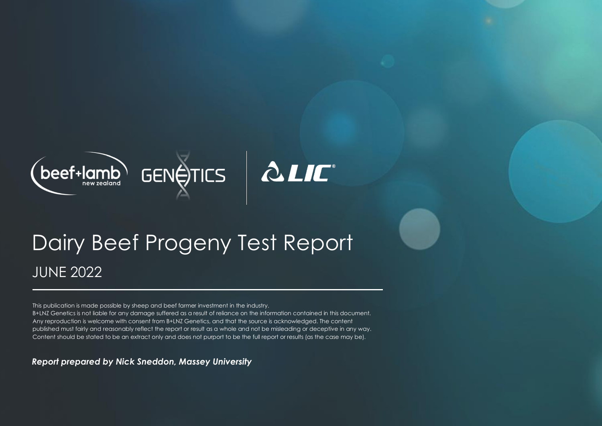

# Dairy Beef Progeny Test Report JUNE 2022

This publication is made possible by sheep and beef farmer investment in the industry. B+LNZ Genetics is not liable for any damage suffered as a result of reliance on the information contained in this document. Any reproduction is welcome with consent from B+LNZ Genetics, and that the source is acknowledged. The content published must fairly and reasonably reflect the report or result as a whole and not be misleading or deceptive in any way. Content should be stated to be an extract only and does not purport to be the full report or results (as the case may be).

*Report prepared by Nick Sneddon, Massey University*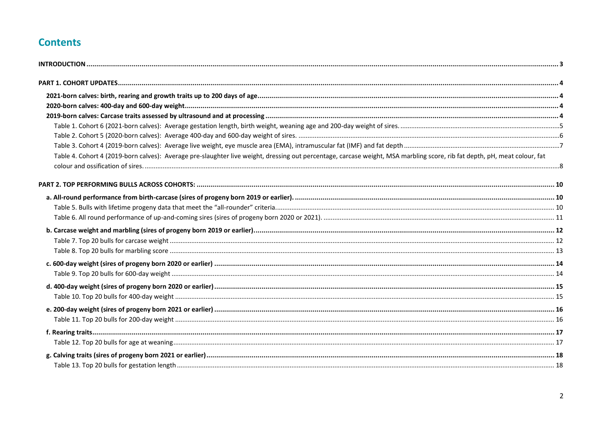# **Contents**

| Table 4. Cohort 4 (2019-born calves): Average pre-slaughter live weight, dressing out percentage, carcase weight, MSA marbling score, rib fat depth, pH, meat colour, fat |  |
|---------------------------------------------------------------------------------------------------------------------------------------------------------------------------|--|
|                                                                                                                                                                           |  |
|                                                                                                                                                                           |  |
|                                                                                                                                                                           |  |
|                                                                                                                                                                           |  |
|                                                                                                                                                                           |  |
|                                                                                                                                                                           |  |
|                                                                                                                                                                           |  |
|                                                                                                                                                                           |  |
|                                                                                                                                                                           |  |
|                                                                                                                                                                           |  |
|                                                                                                                                                                           |  |
|                                                                                                                                                                           |  |
|                                                                                                                                                                           |  |
|                                                                                                                                                                           |  |
|                                                                                                                                                                           |  |
|                                                                                                                                                                           |  |
|                                                                                                                                                                           |  |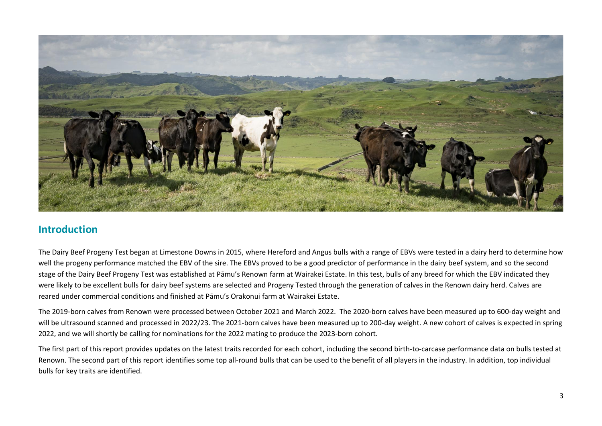

# <span id="page-2-0"></span>**Introduction**

The Dairy Beef Progeny Test began at Limestone Downs in 2015, where Hereford and Angus bulls with a range of EBVs were tested in a dairy herd to determine how well the progeny performance matched the EBV of the sire. The EBVs proved to be a good predictor of performance in the dairy beef system, and so the second stage of the Dairy Beef Progeny Test was established at Pāmu's Renown farm at Wairakei Estate. In this test, bulls of any breed for which the EBV indicated they were likely to be excellent bulls for dairy beef systems are selected and Progeny Tested through the generation of calves in the Renown dairy herd. Calves are reared under commercial conditions and finished at Pāmu's Orakonui farm at Wairakei Estate.

The 2019-born calves from Renown were processed between October 2021 and March 2022. The 2020-born calves have been measured up to 600-day weight and will be ultrasound scanned and processed in 2022/23. The 2021-born calves have been measured up to 200-day weight. A new cohort of calves is expected in spring 2022, and we will shortly be calling for nominations for the 2022 mating to produce the 2023-born cohort.

The first part of this report provides updates on the latest traits recorded for each cohort, including the second birth-to-carcase performance data on bulls tested at Renown. The second part of this report identifies some top all-round bulls that can be used to the benefit of all players in the industry. In addition, top individual bulls for key traits are identified.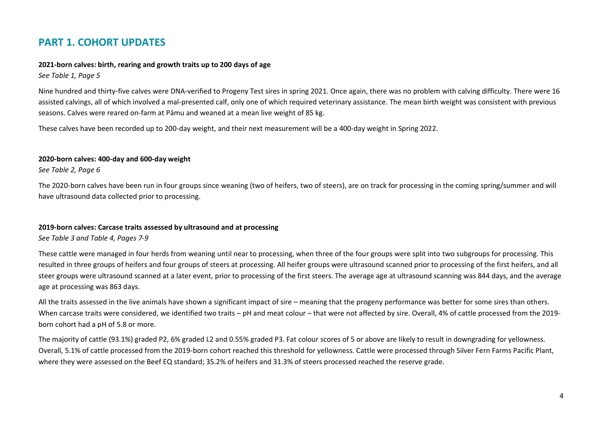# <span id="page-3-0"></span>**PART 1. COHORT UPDATES**

#### <span id="page-3-1"></span>**2021-born calves: birth, rearing and growth traits up to 200 days of age**

*See Table 1, Page 5*

Nine hundred and thirty-five calves were DNA-verified to Progeny Test sires in spring 2021. Once again, there was no problem with calving difficulty. There were 16 assisted calvings, all of which involved a mal-presented calf, only one of which required veterinary assistance. The mean birth weight was consistent with previous seasons. Calves were reared on-farm at Pāmu and weaned at a mean live weight of 85 kg.

These calves have been recorded up to 200-day weight, and their next measurement will be a 400-day weight in Spring 2022.

#### <span id="page-3-2"></span>**2020-born calves: 400-day and 600-day weight**

*See Table 2, Page 6*

The 2020-born calves have been run in four groups since weaning (two of heifers, two of steers), are on track for processing in the coming spring/summer and will have ultrasound data collected prior to processing.

#### <span id="page-3-3"></span>**2019-born calves: Carcase traits assessed by ultrasound and at processing**

*See Table 3 and Table 4, Pages 7-9*

These cattle were managed in four herds from weaning until near to processing, when three of the four groups were split into two subgroups for processing. This resulted in three groups of heifers and four groups of steers at processing. All heifer groups were ultrasound scanned prior to processing of the first heifers, and all steer groups were ultrasound scanned at a later event, prior to processing of the first steers. The average age at ultrasound scanning was 844 days, and the average age at processing was 863 days.

All the traits assessed in the live animals have shown a significant impact of sire – meaning that the progeny performance was better for some sires than others. When carcase traits were considered, we identified two traits – pH and meat colour – that were not affected by sire. Overall, 4% of cattle processed from the 2019born cohort had a pH of 5.8 or more.

The majority of cattle (93.1%) graded P2, 6% graded L2 and 0.55% graded P3. Fat colour scores of 5 or above are likely to result in downgrading for yellowness. Overall, 5.1% of cattle processed from the 2019-born cohort reached this threshold for yellowness. Cattle were processed through Silver Fern Farms Pacific Plant, where they were assessed on the Beef EQ standard; 35.2% of heifers and 31.3% of steers processed reached the reserve grade.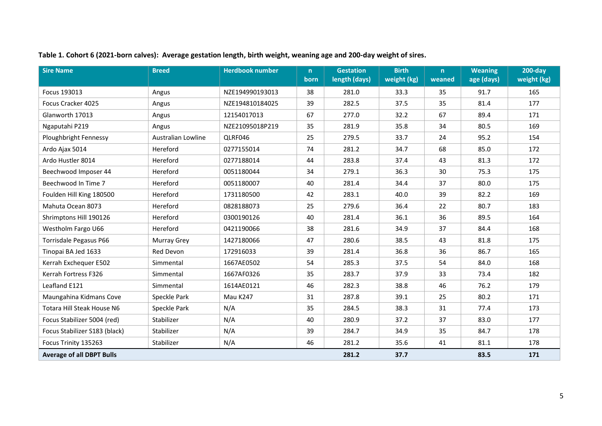| <b>Sire Name</b>                 | <b>Breed</b>       | <b>Herdbook number</b> | n<br>born | <b>Gestation</b><br>length (days) | <b>Birth</b><br>weight (kg) | n.<br>weaned | <b>Weaning</b><br>age (days) | $200$ -day<br>weight (kg) |
|----------------------------------|--------------------|------------------------|-----------|-----------------------------------|-----------------------------|--------------|------------------------------|---------------------------|
| Focus 193013                     | Angus              | NZE194990193013        | 38        | 281.0                             | 33.3                        | 35           | 91.7                         | 165                       |
|                                  |                    |                        | 39        |                                   |                             |              |                              | 177                       |
| Focus Cracker 4025               | Angus              | NZE194810184025        |           | 282.5                             | 37.5                        | 35           | 81.4                         |                           |
| Glanworth 17013                  | Angus              | 12154017013            | 67        | 277.0                             | 32.2                        | 67           | 89.4                         | 171                       |
| Ngaputahi P219                   | Angus              | NZE21095018P219        | 35        | 281.9                             | 35.8                        | 34           | 80.5                         | 169                       |
| Ploughbright Fennessy            | Australian Lowline | QLRF046                | 25        | 279.5                             | 33.7                        | 24           | 95.2                         | 154                       |
| Ardo Ajax 5014                   | Hereford           | 0277155014             | 74        | 281.2                             | 34.7                        | 68           | 85.0                         | 172                       |
| Ardo Hustler 8014                | Hereford           | 0277188014             | 44        | 283.8                             | 37.4                        | 43           | 81.3                         | 172                       |
| Beechwood Imposer 44             | Hereford           | 0051180044             | 34        | 279.1                             | 36.3                        | 30           | 75.3                         | 175                       |
| Beechwood In Time 7              | Hereford           | 0051180007             | 40        | 281.4                             | 34.4                        | 37           | 80.0                         | 175                       |
| Foulden Hill King 180500         | Hereford           | 1731180500             | 42        | 283.1                             | 40.0                        | 39           | 82.2                         | 169                       |
| Mahuta Ocean 8073                | Hereford           | 0828188073             | 25        | 279.6                             | 36.4                        | 22           | 80.7                         | 183                       |
| Shrimptons Hill 190126           | Hereford           | 0300190126             | 40        | 281.4                             | 36.1                        | 36           | 89.5                         | 164                       |
| Westholm Fargo U66               | Hereford           | 0421190066             | 38        | 281.6                             | 34.9                        | 37           | 84.4                         | 168                       |
| Torrisdale Pegasus P66           | Murray Grey        | 1427180066             | 47        | 280.6                             | 38.5                        | 43           | 81.8                         | 175                       |
| Tinopai BA Jed 1633              | Red Devon          | 172916033              | 39        | 281.4                             | 36.8                        | 36           | 86.7                         | 165                       |
| Kerrah Exchequer E502            | Simmental          | 1667AE0502             | 54        | 285.3                             | 37.5                        | 54           | 84.0                         | 168                       |
| Kerrah Fortress F326             | Simmental          | 1667AF0326             | 35        | 283.7                             | 37.9                        | 33           | 73.4                         | 182                       |
| Leafland E121                    | Simmental          | 1614AE0121             | 46        | 282.3                             | 38.8                        | 46           | 76.2                         | 179                       |
| Maungahina Kidmans Cove          | Speckle Park       | Mau K247               | 31        | 287.8                             | 39.1                        | 25           | 80.2                         | 171                       |
| Totara Hill Steak House N6       | Speckle Park       | N/A                    | 35        | 284.5                             | 38.3                        | 31           | 77.4                         | 173                       |
| Focus Stabilizer 5004 (red)      | Stabilizer         | N/A                    | 40        | 280.9                             | 37.2                        | 37           | 83.0                         | 177                       |
| Focus Stabilizer S183 (black)    | Stabilizer         | N/A                    | 39        | 284.7                             | 34.9                        | 35           | 84.7                         | 178                       |
| Focus Trinity 135263             | Stabilizer         | N/A                    | 46        | 281.2                             | 35.6                        | 41           | 81.1                         | 178                       |
| <b>Average of all DBPT Bulls</b> |                    |                        |           | 281.2                             | 37.7                        |              | 83.5                         | 171                       |

<span id="page-4-0"></span>**Table 1. Cohort 6 (2021-born calves): Average gestation length, birth weight, weaning age and 200-day weight of sires.**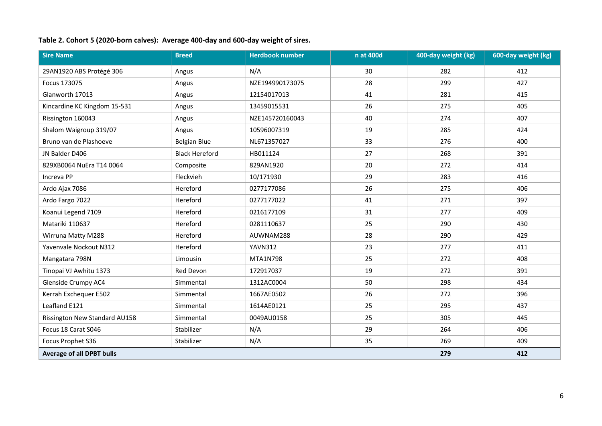# <span id="page-5-0"></span>**Table 2. Cohort 5 (2020-born calves): Average 400-day and 600-day weight of sires.**

| <b>Sire Name</b>                 | <b>Breed</b>          | <b>Herdbook number</b> | n at 400d | 400-day weight (kg) | 600-day weight (kg) |
|----------------------------------|-----------------------|------------------------|-----------|---------------------|---------------------|
| 29AN1920 ABS Protégé 306         | Angus                 | N/A                    | 30        | 282                 | 412                 |
| Focus 173075                     | Angus                 | NZE194990173075        | 28        | 299                 | 427                 |
| Glanworth 17013                  | Angus                 | 12154017013            | 41        | 281                 | 415                 |
| Kincardine KC Kingdom 15-531     | Angus                 | 13459015531            | 26        | 275                 | 405                 |
| Rissington 160043                | Angus                 | NZE145720160043        | 40        | 274                 | 407                 |
| Shalom Waigroup 319/07           | Angus                 | 10596007319            | 19        | 285                 | 424                 |
| Bruno van de Plashoeve           | <b>Belgian Blue</b>   | NL671357027            | 33        | 276                 | 400                 |
| JN Balder D406                   | <b>Black Hereford</b> | HB011124               | 27        | 268                 | 391                 |
| 829XB0064 NuEra T14 0064         | Composite             | 829AN1920              | 20        | 272                 | 414                 |
| Increva PP                       | Fleckvieh             | 10/171930              | 29        | 283                 | 416                 |
| Ardo Ajax 7086                   | Hereford              | 0277177086             | 26        | 275                 | 406                 |
| Ardo Fargo 7022                  | Hereford              | 0277177022             | 41        | 271                 | 397                 |
| Koanui Legend 7109               | Hereford              | 0216177109             | 31        | 277                 | 409                 |
| Matariki 110637                  | Hereford              | 0281110637             | 25        | 290                 | 430                 |
| Wirruna Matty M288               | Hereford              | AUWNAM288              | 28        | 290                 | 429                 |
| Yavenvale Nockout N312           | Hereford              | YAVN312                | 23        | 277                 | 411                 |
| Mangatara 798N                   | Limousin              | MTA1N798               | 25        | 272                 | 408                 |
| Tinopai VJ Awhitu 1373           | <b>Red Devon</b>      | 172917037              | 19        | 272                 | 391                 |
| Glenside Crumpy AC4              | Simmental             | 1312AC0004             | 50        | 298                 | 434                 |
| Kerrah Exchequer E502            | Simmental             | 1667AE0502             | 26        | 272                 | 396                 |
| Leafland E121                    | Simmental             | 1614AE0121             | 25        | 295                 | 437                 |
| Rissington New Standard AU158    | Simmental             | 0049AU0158             | 25        | 305                 | 445                 |
| Focus 18 Carat S046              | Stabilizer            | N/A                    | 29        | 264                 | 406                 |
| Focus Prophet S36                | Stabilizer            | N/A                    | 35        | 269                 | 409                 |
| <b>Average of all DPBT bulls</b> |                       |                        |           | 279                 | 412                 |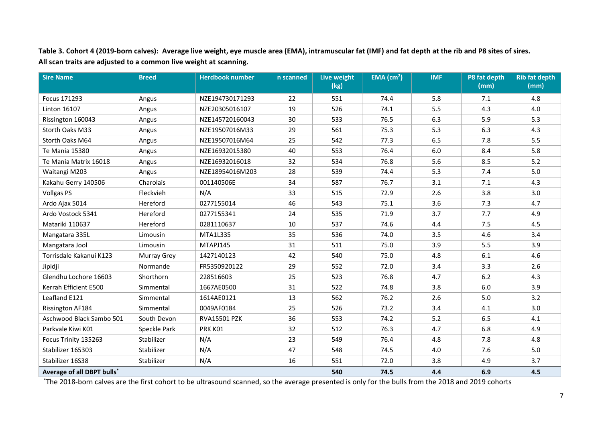<span id="page-6-0"></span>**Table 3. Cohort 4 (2019-born calves): Average live weight, eye muscle area (EMA), intramuscular fat (IMF) and fat depth at the rib and P8 sites of sires. All scan traits are adjusted to a common live weight at scanning.**

| <b>Sire Name</b>           | <b>Breed</b> | <b>Herdbook number</b> | n scanned | Live weight | $EMA$ (cm <sup>2</sup> ) | <b>IMF</b> | P8 fat depth<br>(mm) | <b>Rib fat depth</b><br>(mm) |
|----------------------------|--------------|------------------------|-----------|-------------|--------------------------|------------|----------------------|------------------------------|
|                            |              |                        |           | (kg)        |                          |            |                      |                              |
| Focus 171293               | Angus        | NZE194730171293        | 22        | 551         | 74.4                     | 5.8        | 7.1                  | 4.8                          |
| <b>Linton 16107</b>        | Angus        | NZE20305016107         | 19        | 526         | 74.1                     | 5.5        | 4.3                  | 4.0                          |
| Rissington 160043          | Angus        | NZE145720160043        | 30        | 533         | 76.5                     | 6.3        | 5.9                  | 5.3                          |
| Storth Oaks M33            | Angus        | NZE19507016M33         | 29        | 561         | 75.3                     | 5.3        | 6.3                  | 4.3                          |
| Storth Oaks M64            | Angus        | NZE19507016M64         | 25        | 542         | 77.3                     | 6.5        | 7.8                  | 5.5                          |
| Te Mania 15380             | Angus        | NZE16932015380         | 40        | 553         | 76.4                     | 6.0        | 8.4                  | 5.8                          |
| Te Mania Matrix 16018      | Angus        | NZE16932016018         | 32        | 534         | 76.8                     | 5.6        | 8.5                  | 5.2                          |
| Waitangi M203              | Angus        | NZE18954016M203        | 28        | 539         | 74.4                     | 5.3        | 7.4                  | 5.0                          |
| Kakahu Gerry 140506        | Charolais    | 001140506E             | 34        | 587         | 76.7                     | 3.1        | 7.1                  | 4.3                          |
| <b>Vollgas PS</b>          | Fleckvieh    | N/A                    | 33        | 515         | 72.9                     | 2.6        | 3.8                  | 3.0                          |
| Ardo Ajax 5014             | Hereford     | 0277155014             | 46        | 543         | 75.1                     | 3.6        | 7.3                  | 4.7                          |
| Ardo Vostock 5341          | Hereford     | 0277155341             | 24        | 535         | 71.9                     | 3.7        | 7.7                  | 4.9                          |
| Matariki 110637            | Hereford     | 0281110637             | 10        | 537         | 74.6                     | 4.4        | 7.5                  | 4.5                          |
| Mangatara 335L             | Limousin     | MTA1L335               | 35        | 536         | 74.0                     | 3.5        | 4.6                  | 3.4                          |
| Mangatara Jool             | Limousin     | MTAPJ145               | 31        | 511         | 75.0                     | 3.9        | 5.5                  | 3.9                          |
| Torrisdale Kakanui K123    | Murray Grey  | 1427140123             | 42        | 540         | 75.0                     | 4.8        | 6.1                  | 4.6                          |
| Jipidji                    | Normande     | FR5350920122           | 29        | 552         | 72.0                     | 3.4        | 3.3                  | 2.6                          |
| Glendhu Lochore 16603      | Shorthorn    | 228516603              | 25        | 523         | 76.8                     | 4.7        | 6.2                  | 4.3                          |
| Kerrah Efficient E500      | Simmental    | 1667AE0500             | 31        | 522         | 74.8                     | 3.8        | 6.0                  | 3.9                          |
| Leafland E121              | Simmental    | 1614AE0121             | 13        | 562         | 76.2                     | 2.6        | 5.0                  | 3.2                          |
| Rissington AF184           | Simmental    | 0049AF0184             | 25        | 526         | 73.2                     | 3.4        | 4.1                  | 3.0                          |
| Aschwood Black Sambo 501   | South Devon  | <b>RVA15501 PZK</b>    | 36        | 553         | 74.2                     | 5.2        | 6.5                  | 4.1                          |
| Parkvale Kiwi K01          | Speckle Park | PRK KO1                | 32        | 512         | 76.3                     | 4.7        | 6.8                  | 4.9                          |
| Focus Trinity 135263       | Stabilizer   | N/A                    | 23        | 549         | 76.4                     | 4.8        | 7.8                  | 4.8                          |
| Stabilizer 165303          | Stabilizer   | N/A                    | 47        | 548         | 74.5                     | 4.0        | 7.6                  | 5.0                          |
| Stabilizer 16S38           | Stabilizer   | N/A                    | 16        | 551         | 72.0                     | 3.8        | 4.9                  | 3.7                          |
| Average of all DBPT bulls* |              |                        |           | 540         | 74.5                     | 4.4        | 6.9                  | 4.5                          |

\*The 2018-born calves are the first cohort to be ultrasound scanned, so the average presented is only for the bulls from the 2018 and 2019 cohorts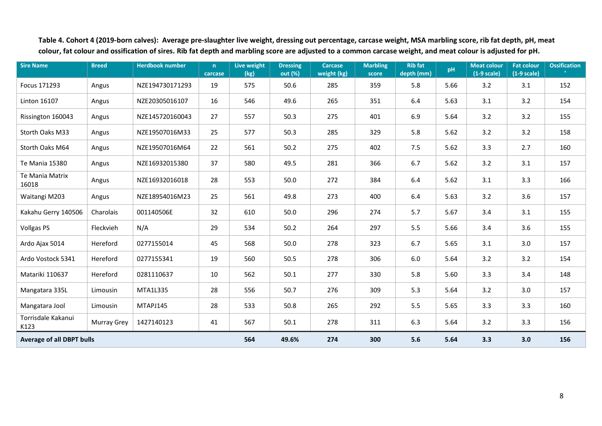<span id="page-7-0"></span>**Table 4. Cohort 4 (2019-born calves): Average pre-slaughter live weight, dressing out percentage, carcase weight, MSA marbling score, rib fat depth, pH, meat colour, fat colour and ossification of sires. Rib fat depth and marbling score are adjusted to a common carcase weight, and meat colour is adjusted for pH.**

| <b>Sire Name</b>                 | <b>Breed</b>       | <b>Herdbook number</b> | n<br>carcase | Live weight<br>(kg) | <b>Dressing</b><br>out (%) | <b>Carcase</b><br>weight (kg) | <b>Marbling</b><br>score | <b>Rib fat</b><br>depth (mm) | pH   | <b>Meat colour</b><br>$(1-9 scale)$ | <b>Fat colour</b><br>$(1-9 scale)$ | <b>Ossification</b> |
|----------------------------------|--------------------|------------------------|--------------|---------------------|----------------------------|-------------------------------|--------------------------|------------------------------|------|-------------------------------------|------------------------------------|---------------------|
| Focus 171293                     | Angus              | NZE194730171293        | 19           | 575                 | 50.6                       | 285                           | 359                      | 5.8                          | 5.66 | 3.2                                 | 3.1                                | 152                 |
| Linton 16107                     | Angus              | NZE20305016107         | 16           | 546                 | 49.6                       | 265                           | 351                      | 6.4                          | 5.63 | 3.1                                 | 3.2                                | 154                 |
| Rissington 160043                | Angus              | NZE145720160043        | 27           | 557                 | 50.3                       | 275                           | 401                      | 6.9                          | 5.64 | 3.2                                 | 3.2                                | 155                 |
| Storth Oaks M33                  | Angus              | NZE19507016M33         | 25           | 577                 | 50.3                       | 285                           | 329                      | 5.8                          | 5.62 | 3.2                                 | 3.2                                | 158                 |
| Storth Oaks M64                  | Angus              | NZE19507016M64         | 22           | 561                 | 50.2                       | 275                           | 402                      | 7.5                          | 5.62 | 3.3                                 | 2.7                                | 160                 |
| Te Mania 15380                   | Angus              | NZE16932015380         | 37           | 580                 | 49.5                       | 281                           | 366                      | 6.7                          | 5.62 | 3.2                                 | 3.1                                | 157                 |
| Te Mania Matrix<br>16018         | Angus              | NZE16932016018         | 28           | 553                 | 50.0                       | 272                           | 384                      | 6.4                          | 5.62 | 3.1                                 | 3.3                                | 166                 |
| Waitangi M203                    | Angus              | NZE18954016M23         | 25           | 561                 | 49.8                       | 273                           | 400                      | 6.4                          | 5.63 | 3.2                                 | 3.6                                | 157                 |
| Kakahu Gerry 140506              | Charolais          | 001140506E             | 32           | 610                 | 50.0                       | 296                           | 274                      | 5.7                          | 5.67 | 3.4                                 | 3.1                                | 155                 |
| Vollgas PS                       | Fleckvieh          | N/A                    | 29           | 534                 | 50.2                       | 264                           | 297                      | 5.5                          | 5.66 | 3.4                                 | 3.6                                | 155                 |
| Ardo Ajax 5014                   | Hereford           | 0277155014             | 45           | 568                 | 50.0                       | 278                           | 323                      | 6.7                          | 5.65 | 3.1                                 | 3.0                                | 157                 |
| Ardo Vostock 5341                | Hereford           | 0277155341             | 19           | 560                 | 50.5                       | 278                           | 306                      | 6.0                          | 5.64 | 3.2                                 | 3.2                                | 154                 |
| Matariki 110637                  | Hereford           | 0281110637             | 10           | 562                 | 50.1                       | 277                           | 330                      | 5.8                          | 5.60 | 3.3                                 | 3.4                                | 148                 |
| Mangatara 335L                   | Limousin           | MTA1L335               | 28           | 556                 | 50.7                       | 276                           | 309                      | 5.3                          | 5.64 | 3.2                                 | 3.0                                | 157                 |
| Mangatara Jool                   | Limousin           | MTAPJ145               | 28           | 533                 | 50.8                       | 265                           | 292                      | 5.5                          | 5.65 | 3.3                                 | 3.3                                | 160                 |
| Torrisdale Kakanui<br>K123       | <b>Murray Grey</b> | 1427140123             | 41           | 567                 | 50.1                       | 278                           | 311                      | 6.3                          | 5.64 | 3.2                                 | 3.3                                | 156                 |
| <b>Average of all DBPT bulls</b> |                    |                        |              | 564                 | 49.6%                      | 274                           | 300                      | 5.6                          | 5.64 | 3.3                                 | 3.0                                | 156                 |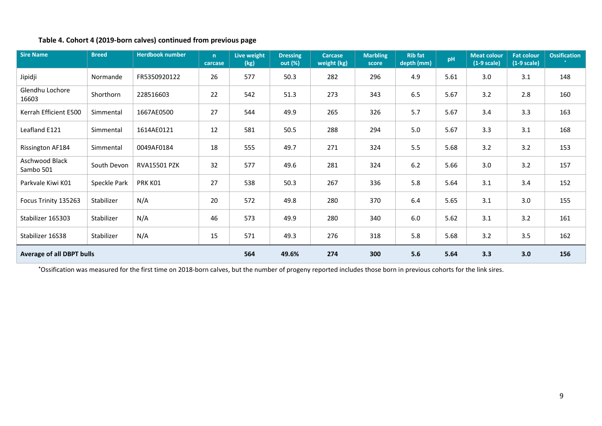#### **Table 4. Cohort 4 (2019-born calves) continued from previous page**

| <b>Sire Name</b>            | <b>Breed</b> | <b>Herdbook number</b> | n<br>carcase | Live weight<br>(kg) | <b>Dressing</b><br>out (%) | <b>Carcase</b><br>weight (kg) | <b>Marbling</b><br>score | <b>Rib fat</b><br>depth (mm) | pH   | <b>Meat colour</b><br>$(1-9 scale)$ | <b>Fat colour</b><br>$(1-9 scale)$ | <b>Ossification</b> |
|-----------------------------|--------------|------------------------|--------------|---------------------|----------------------------|-------------------------------|--------------------------|------------------------------|------|-------------------------------------|------------------------------------|---------------------|
| Jipidji                     | Normande     | FR5350920122           | 26           | 577                 | 50.3                       | 282                           | 296                      | 4.9                          | 5.61 | 3.0                                 | 3.1                                | 148                 |
| Glendhu Lochore<br>16603    | Shorthorn    | 228516603              | 22           | 542                 | 51.3                       | 273                           | 343                      | 6.5                          | 5.67 | 3.2                                 | 2.8                                | 160                 |
| Kerrah Efficient E500       | Simmental    | 1667AE0500             | 27           | 544                 | 49.9                       | 265                           | 326                      | 5.7                          | 5.67 | 3.4                                 | 3.3                                | 163                 |
| Leafland E121               | Simmental    | 1614AE0121             | 12           | 581                 | 50.5                       | 288                           | 294                      | 5.0                          | 5.67 | 3.3                                 | 3.1                                | 168                 |
| Rissington AF184            | Simmental    | 0049AF0184             | 18           | 555                 | 49.7                       | 271                           | 324                      | 5.5                          | 5.68 | 3.2                                 | 3.2                                | 153                 |
| Aschwood Black<br>Sambo 501 | South Devon  | <b>RVA15501 PZK</b>    | 32           | 577                 | 49.6                       | 281                           | 324                      | 6.2                          | 5.66 | 3.0                                 | 3.2                                | 157                 |
| Parkvale Kiwi K01           | Speckle Park | PRK KO1                | 27           | 538                 | 50.3                       | 267                           | 336                      | 5.8                          | 5.64 | 3.1                                 | 3.4                                | 152                 |
| Focus Trinity 135263        | Stabilizer   | N/A                    | 20           | 572                 | 49.8                       | 280                           | 370                      | 6.4                          | 5.65 | 3.1                                 | 3.0                                | 155                 |
| Stabilizer 165303           | Stabilizer   | N/A                    | 46           | 573                 | 49.9                       | 280                           | 340                      | 6.0                          | 5.62 | 3.1                                 | 3.2                                | 161                 |
| Stabilizer 16S38            | Stabilizer   | N/A                    | 15           | 571                 | 49.3                       | 276                           | 318                      | 5.8                          | 5.68 | 3.2                                 | 3.5                                | 162                 |
| Average of all DBPT bulls   |              |                        |              | 564                 | 49.6%                      | 274                           | 300                      | 5.6                          | 5.64 | 3.3                                 | 3.0                                | 156                 |

**\***Ossification was measured for the first time on 2018-born calves, but the number of progeny reported includes those born in previous cohorts for the link sires.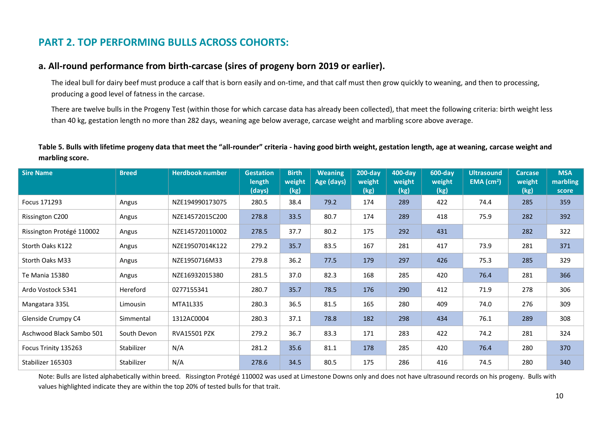# <span id="page-9-0"></span>**PART 2. TOP PERFORMING BULLS ACROSS COHORTS:**

#### <span id="page-9-1"></span>**a. All-round performance from birth-carcase (sires of progeny born 2019 or earlier).**

The ideal bull for dairy beef must produce a calf that is born easily and on-time, and that calf must then grow quickly to weaning, and then to processing, producing a good level of fatness in the carcase.

There are twelve bulls in the Progeny Test (within those for which carcase data has already been collected), that meet the following criteria: birth weight less than 40 kg, gestation length no more than 282 days, weaning age below average, carcase weight and marbling score above average.

<span id="page-9-2"></span>**Table 5. Bulls with lifetime progeny data that meet the "all-rounder" criteria - having good birth weight, gestation length, age at weaning, carcase weight and marbling score.**

| <b>Sire Name</b>          | <b>Breed</b> | <b>Herdbook number</b> | <b>Gestation</b><br>length<br>(days) | <b>Birth</b><br>weight<br>(kg) | <b>Weaning</b><br>Age (days) | $200$ -day<br>weight<br>(kg) | 400-day<br>weight<br>(kg) | 600-day<br>weight<br>(kg) | <b>Ultrasound</b><br>$EMA$ (cm <sup>2</sup> ) | <b>Carcase</b><br>weight<br>(kg) | <b>MSA</b><br>marbling<br>score |
|---------------------------|--------------|------------------------|--------------------------------------|--------------------------------|------------------------------|------------------------------|---------------------------|---------------------------|-----------------------------------------------|----------------------------------|---------------------------------|
| Focus 171293              | Angus        | NZE194990173075        | 280.5                                | 38.4                           | 79.2                         | 174                          | 289                       | 422                       | 74.4                                          | 285                              | 359                             |
| Rissington C200           | Angus        | NZE14572015C200        | 278.8                                | 33.5                           | 80.7                         | 174                          | 289                       | 418                       | 75.9                                          | 282                              | 392                             |
| Rissington Protégé 110002 | Angus        | NZE145720110002        | 278.5                                | 37.7                           | 80.2                         | 175                          | 292                       | 431                       |                                               | 282                              | 322                             |
| Storth Oaks K122          | Angus        | NZE19507014K122        | 279.2                                | 35.7                           | 83.5                         | 167                          | 281                       | 417                       | 73.9                                          | 281                              | 371                             |
| Storth Oaks M33           | Angus        | NZE1950716M33          | 279.8                                | 36.2                           | 77.5                         | 179                          | 297                       | 426                       | 75.3                                          | 285                              | 329                             |
| Te Mania 15380            | Angus        | NZE16932015380         | 281.5                                | 37.0                           | 82.3                         | 168                          | 285                       | 420                       | 76.4                                          | 281                              | 366                             |
| Ardo Vostock 5341         | Hereford     | 0277155341             | 280.7                                | 35.7                           | 78.5                         | 176                          | 290                       | 412                       | 71.9                                          | 278                              | 306                             |
| Mangatara 335L            | Limousin     | MTA1L335               | 280.3                                | 36.5                           | 81.5                         | 165                          | 280                       | 409                       | 74.0                                          | 276                              | 309                             |
| Glenside Crumpy C4        | Simmental    | 1312AC0004             | 280.3                                | 37.1                           | 78.8                         | 182                          | 298                       | 434                       | 76.1                                          | 289                              | 308                             |
| Aschwood Black Sambo 501  | South Devon  | <b>RVA15501 PZK</b>    | 279.2                                | 36.7                           | 83.3                         | 171                          | 283                       | 422                       | 74.2                                          | 281                              | 324                             |
| Focus Trinity 135263      | Stabilizer   | N/A                    | 281.2                                | 35.6                           | 81.1                         | 178                          | 285                       | 420                       | 76.4                                          | 280                              | 370                             |
| Stabilizer 165303         | Stabilizer   | N/A                    | 278.6                                | 34.5                           | 80.5                         | 175                          | 286                       | 416                       | 74.5                                          | 280                              | 340                             |

Note: Bulls are listed alphabetically within breed. Rissington Protégé 110002 was used at Limestone Downs only and does not have ultrasound records on his progeny. Bulls with values highlighted indicate they are within the top 20% of tested bulls for that trait.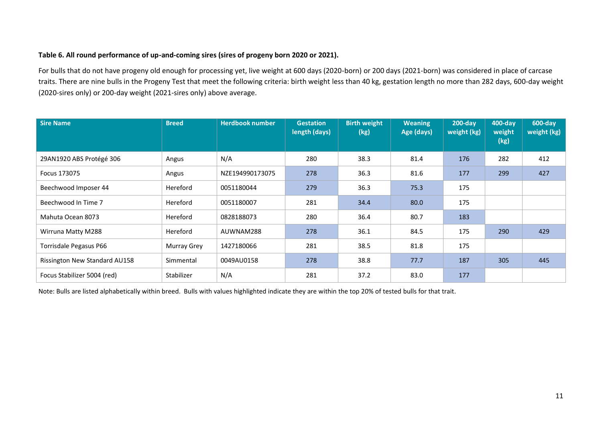#### <span id="page-10-0"></span>**Table 6. All round performance of up-and-coming sires (sires of progeny born 2020 or 2021).**

For bulls that do not have progeny old enough for processing yet, live weight at 600 days (2020-born) or 200 days (2021-born) was considered in place of carcase traits. There are nine bulls in the Progeny Test that meet the following criteria: birth weight less than 40 kg, gestation length no more than 282 days, 600-day weight (2020-sires only) or 200-day weight (2021-sires only) above average.

| <b>Sire Name</b>              | <b>Breed</b> | <b>Herdbook number</b> | <b>Gestation</b><br>length (days) | <b>Birth weight</b><br>(kg) | <b>Weaning</b><br>Age (days) | $200$ -day<br>weight (kg) | 400-day<br>weight<br>(kg) | 600-day<br>weight (kg) |
|-------------------------------|--------------|------------------------|-----------------------------------|-----------------------------|------------------------------|---------------------------|---------------------------|------------------------|
|                               |              |                        |                                   |                             |                              |                           |                           |                        |
| 29AN1920 ABS Protégé 306      | Angus        | N/A                    | 280                               | 38.3                        | 81.4                         | 176                       | 282                       | 412                    |
| Focus 173075                  | Angus        | NZE194990173075        | 278                               | 36.3                        | 81.6                         | 177                       | 299                       | 427                    |
| Beechwood Imposer 44          | Hereford     | 0051180044             | 279                               | 36.3                        | 75.3                         | 175                       |                           |                        |
| Beechwood In Time 7           | Hereford     | 0051180007             | 281                               | 34.4                        | 80.0                         | 175                       |                           |                        |
| Mahuta Ocean 8073             | Hereford     | 0828188073             | 280                               | 36.4                        | 80.7                         | 183                       |                           |                        |
| Wirruna Matty M288            | Hereford     | AUWNAM288              | 278                               | 36.1                        | 84.5                         | 175                       | 290                       | 429                    |
| Torrisdale Pegasus P66        | Murray Grey  | 1427180066             | 281                               | 38.5                        | 81.8                         | 175                       |                           |                        |
| Rissington New Standard AU158 | Simmental    | 0049AU0158             | 278                               | 38.8                        | 77.7                         | 187                       | 305                       | 445                    |
| Focus Stabilizer 5004 (red)   | Stabilizer   | N/A                    | 281                               | 37.2                        | 83.0                         | 177                       |                           |                        |

Note: Bulls are listed alphabetically within breed. Bulls with values highlighted indicate they are within the top 20% of tested bulls for that trait.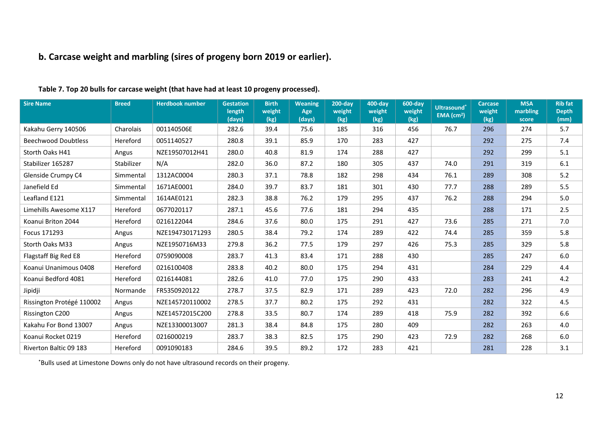# <span id="page-11-0"></span>**b. Carcase weight and marbling (sires of progeny born 2019 or earlier).**

| <b>Sire Name</b>           | <b>Breed</b> | <b>Herdbook number</b> | <b>Gestation</b><br>length<br>(days) | <b>Birth</b><br>weight<br>(kg) | <b>Weaning</b><br>Age<br>(days) | 200-day<br>weight<br>(kg) | 400-day<br>weight<br>(kg) | 600-day<br>weight<br>(kg) | Ultrasound <sup>*</sup><br>$EMA$ (cm <sup>2</sup> ) | <b>Carcase</b><br>weight<br>(kg) | <b>MSA</b><br>marbling<br>score | <b>Rib fat</b><br><b>Depth</b><br>(mm) |
|----------------------------|--------------|------------------------|--------------------------------------|--------------------------------|---------------------------------|---------------------------|---------------------------|---------------------------|-----------------------------------------------------|----------------------------------|---------------------------------|----------------------------------------|
| Kakahu Gerry 140506        | Charolais    | 001140506E             | 282.6                                | 39.4                           | 75.6                            | 185                       | 316                       | 456                       | 76.7                                                | 296                              | 274                             | 5.7                                    |
| <b>Beechwood Doubtless</b> | Hereford     | 0051140527             | 280.8                                | 39.1                           | 85.9                            | 170                       | 283                       | 427                       |                                                     | 292                              | 275                             | 7.4                                    |
| Storth Oaks H41            | Angus        | NZE19507012H41         | 280.0                                | 40.8                           | 81.9                            | 174                       | 288                       | 427                       |                                                     | 292                              | 299                             | 5.1                                    |
| Stabilizer 165287          | Stabilizer   | N/A                    | 282.0                                | 36.0                           | 87.2                            | 180                       | 305                       | 437                       | 74.0                                                | 291                              | 319                             | 6.1                                    |
| Glenside Crumpy C4         | Simmental    | 1312AC0004             | 280.3                                | 37.1                           | 78.8                            | 182                       | 298                       | 434                       | 76.1                                                | 289                              | 308                             | 5.2                                    |
| Janefield Ed               | Simmental    | 1671AE0001             | 284.0                                | 39.7                           | 83.7                            | 181                       | 301                       | 430                       | 77.7                                                | 288                              | 289                             | 5.5                                    |
| Leafland E121              | Simmental    | 1614AE0121             | 282.3                                | 38.8                           | 76.2                            | 179                       | 295                       | 437                       | 76.2                                                | 288                              | 294                             | 5.0                                    |
| Limehills Awesome X117     | Hereford     | 0677020117             | 287.1                                | 45.6                           | 77.6                            | 181                       | 294                       | 435                       |                                                     | 288                              | 171                             | 2.5                                    |
| Koanui Briton 2044         | Hereford     | 0216122044             | 284.6                                | 37.6                           | 80.0                            | 175                       | 291                       | 427                       | 73.6                                                | 285                              | 271                             | 7.0                                    |
| Focus 171293               | Angus        | NZE194730171293        | 280.5                                | 38.4                           | 79.2                            | 174                       | 289                       | 422                       | 74.4                                                | 285                              | 359                             | 5.8                                    |
| Storth Oaks M33            | Angus        | NZE1950716M33          | 279.8                                | 36.2                           | 77.5                            | 179                       | 297                       | 426                       | 75.3                                                | 285                              | 329                             | 5.8                                    |
| Flagstaff Big Red E8       | Hereford     | 0759090008             | 283.7                                | 41.3                           | 83.4                            | 171                       | 288                       | 430                       |                                                     | 285                              | 247                             | 6.0                                    |
| Koanui Unanimous 0408      | Hereford     | 0216100408             | 283.8                                | 40.2                           | 80.0                            | 175                       | 294                       | 431                       |                                                     | 284                              | 229                             | 4.4                                    |
| Koanui Bedford 4081        | Hereford     | 0216144081             | 282.6                                | 41.0                           | 77.0                            | 175                       | 290                       | 433                       |                                                     | 283                              | 241                             | 4.2                                    |
| Jipidji                    | Normande     | FR5350920122           | 278.7                                | 37.5                           | 82.9                            | 171                       | 289                       | 423                       | 72.0                                                | 282                              | 296                             | 4.9                                    |
| Rissington Protégé 110002  | Angus        | NZE145720110002        | 278.5                                | 37.7                           | 80.2                            | 175                       | 292                       | 431                       |                                                     | 282                              | 322                             | 4.5                                    |
| Rissington C200            | Angus        | NZE14572015C200        | 278.8                                | 33.5                           | 80.7                            | 174                       | 289                       | 418                       | 75.9                                                | 282                              | 392                             | 6.6                                    |
| Kakahu For Bond 13007      | Angus        | NZE13300013007         | 281.3                                | 38.4                           | 84.8                            | 175                       | 280                       | 409                       |                                                     | 282                              | 263                             | 4.0                                    |
| Koanui Rocket 0219         | Hereford     | 0216000219             | 283.7                                | 38.3                           | 82.5                            | 175                       | 290                       | 423                       | 72.9                                                | 282                              | 268                             | 6.0                                    |
| Riverton Baltic 09 183     | Hereford     | 0091090183             | 284.6                                | 39.5                           | 89.2                            | 172                       | 283                       | 421                       |                                                     | 281                              | 228                             | 3.1                                    |

#### <span id="page-11-1"></span>**Table 7. Top 20 bulls for carcase weight (that have had at least 10 progeny processed).**

\*Bulls used at Limestone Downs only do not have ultrasound records on their progeny.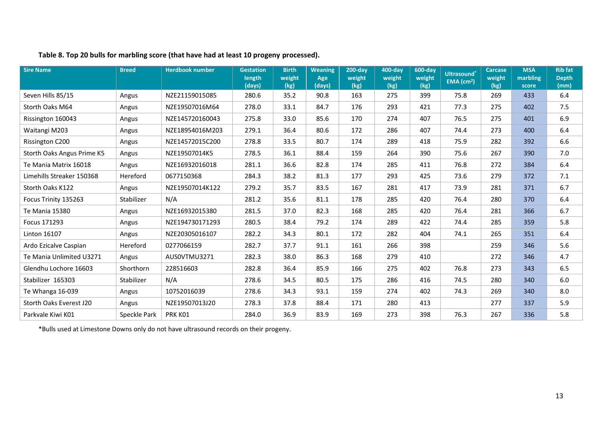| <b>Sire Name</b>           | <b>Breed</b> | <b>Herdbook number</b> | <b>Gestation</b><br>length<br>(days) | <b>Birth</b><br>weight<br>(kg) | Weaning<br>Age<br>(days) | $200$ -day<br>weight<br>(kg) | 400-day<br>weight<br>(kg) | 600-day<br>weight<br>(kg) | Ultrasound <sup>®</sup><br>$EMA$ (cm <sup>2</sup> ) | <b>Carcase</b><br>weight<br>(kg) | <b>MSA</b><br>marbling<br>score | <b>Rib fat</b><br><b>Depth</b><br>(mm) |
|----------------------------|--------------|------------------------|--------------------------------------|--------------------------------|--------------------------|------------------------------|---------------------------|---------------------------|-----------------------------------------------------|----------------------------------|---------------------------------|----------------------------------------|
| Seven Hills 85/15          | Angus        | NZE21159015085         | 280.6                                | 35.2                           | 90.8                     | 163                          | 275                       | 399                       | 75.8                                                | 269                              | 433                             | 6.4                                    |
| Storth Oaks M64            | Angus        | NZE19507016M64         | 278.0                                | 33.1                           | 84.7                     | 176                          | 293                       | 421                       | 77.3                                                | 275                              | 402                             | 7.5                                    |
| Rissington 160043          | Angus        | NZE145720160043        | 275.8                                | 33.0                           | 85.6                     | 170                          | 274                       | 407                       | 76.5                                                | 275                              | 401                             | 6.9                                    |
| Waitangi M203              | Angus        | NZE18954016M203        | 279.1                                | 36.4                           | 80.6                     | 172                          | 286                       | 407                       | 74.4                                                | 273                              | 400                             | 6.4                                    |
| Rissington C200            | Angus        | NZE14572015C200        | 278.8                                | 33.5                           | 80.7                     | 174                          | 289                       | 418                       | 75.9                                                | 282                              | 392                             | 6.6                                    |
| Storth Oaks Angus Prime K5 | Angus        | NZE19507014K5          | 278.5                                | 36.1                           | 88.4                     | 159                          | 264                       | 390                       | 75.6                                                | 267                              | 390                             | 7.0                                    |
| Te Mania Matrix 16018      | Angus        | NZE16932016018         | 281.1                                | 36.6                           | 82.8                     | 174                          | 285                       | 411                       | 76.8                                                | 272                              | 384                             | 6.4                                    |
| Limehills Streaker 150368  | Hereford     | 0677150368             | 284.3                                | 38.2                           | 81.3                     | 177                          | 293                       | 425                       | 73.6                                                | 279                              | 372                             | 7.1                                    |
| Storth Oaks K122           | Angus        | NZE19507014K122        | 279.2                                | 35.7                           | 83.5                     | 167                          | 281                       | 417                       | 73.9                                                | 281                              | 371                             | 6.7                                    |
| Focus Trinity 135263       | Stabilizer   | N/A                    | 281.2                                | 35.6                           | 81.1                     | 178                          | 285                       | 420                       | 76.4                                                | 280                              | 370                             | 6.4                                    |
| <b>Te Mania 15380</b>      | Angus        | NZE16932015380         | 281.5                                | 37.0                           | 82.3                     | 168                          | 285                       | 420                       | 76.4                                                | 281                              | 366                             | 6.7                                    |
| Focus 171293               | Angus        | NZE194730171293        | 280.5                                | 38.4                           | 79.2                     | 174                          | 289                       | 422                       | 74.4                                                | 285                              | 359                             | 5.8                                    |
| Linton 16107               | Angus        | NZE20305016107         | 282.2                                | 34.3                           | 80.1                     | 172                          | 282                       | 404                       | 74.1                                                | 265                              | 351                             | 6.4                                    |
| Ardo Ezicalve Caspian      | Hereford     | 0277066159             | 282.7                                | 37.7                           | 91.1                     | 161                          | 266                       | 398                       |                                                     | 259                              | 346                             | 5.6                                    |
| Te Mania Unlimited U3271   | Angus        | AUS0VTMU3271           | 282.3                                | 38.0                           | 86.3                     | 168                          | 279                       | 410                       |                                                     | 272                              | 346                             | 4.7                                    |
| Glendhu Lochore 16603      | Shorthorn    | 228516603              | 282.8                                | 36.4                           | 85.9                     | 166                          | 275                       | 402                       | 76.8                                                | 273                              | 343                             | 6.5                                    |
| Stabilizer 165303          | Stabilizer   | N/A                    | 278.6                                | 34.5                           | 80.5                     | 175                          | 286                       | 416                       | 74.5                                                | 280                              | 340                             | 6.0                                    |
| Te Whanga 16-039           | Angus        | 10752016039            | 278.6                                | 34.3                           | 93.1                     | 159                          | 274                       | 402                       | 74.3                                                | 269                              | 340                             | 8.0                                    |
| Storth Oaks Everest J20    | Angus        | NZE19507013J20         | 278.3                                | 37.8                           | 88.4                     | 171                          | 280                       | 413                       |                                                     | 277                              | 337                             | 5.9                                    |
| Parkvale Kiwi K01          | Speckle Park | PRK KO1                | 284.0                                | 36.9                           | 83.9                     | 169                          | 273                       | 398                       | 76.3                                                | 267                              | 336                             | 5.8                                    |

<span id="page-12-0"></span>**Table 8. Top 20 bulls for marbling score (that have had at least 10 progeny processed).**

\*Bulls used at Limestone Downs only do not have ultrasound records on their progeny.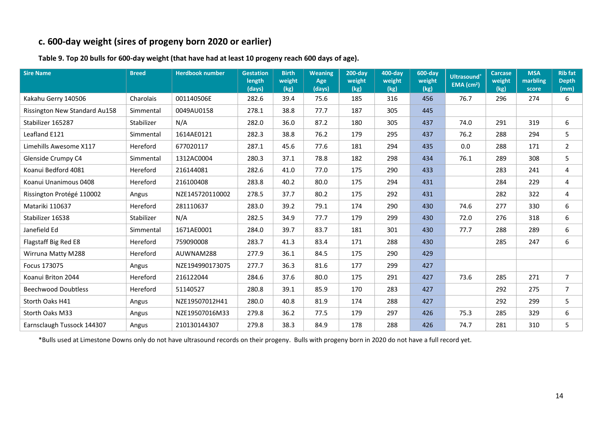# <span id="page-13-0"></span>**c. 600-day weight (sires of progeny born 2020 or earlier)**

<span id="page-13-1"></span>**Table 9. Top 20 bulls for 600-day weight (that have had at least 10 progeny reach 600 days of age).**

| <b>Sire Name</b>                     | <b>Breed</b> | <b>Herdbook number</b> | <b>Gestation</b><br>length<br>(days) | <b>Birth</b><br>weight<br>(kg) | <b>Weaning</b><br>Age<br>(days) | $200$ -day<br>weight<br>(kg) | 400-day<br>weight<br>(kg) | 600-day<br>weight<br>(kg) | <b>Ultrasound</b> *<br>$EMA$ (cm <sup>2</sup> ) | <b>Carcase</b><br>weight<br>(kg) | <b>MSA</b><br>marbling<br>score | <b>Rib fat</b><br><b>Depth</b><br>(mm) |
|--------------------------------------|--------------|------------------------|--------------------------------------|--------------------------------|---------------------------------|------------------------------|---------------------------|---------------------------|-------------------------------------------------|----------------------------------|---------------------------------|----------------------------------------|
| Kakahu Gerry 140506                  | Charolais    | 001140506E             | 282.6                                | 39.4                           | 75.6                            | 185                          | 316                       | 456                       | 76.7                                            | 296                              | 274                             | 6                                      |
| <b>Rissington New Standard Au158</b> | Simmental    | 0049AU0158             | 278.1                                | 38.8                           | 77.7                            | 187                          | 305                       | 445                       |                                                 |                                  |                                 |                                        |
| Stabilizer 165287                    | Stabilizer   | N/A                    | 282.0                                | 36.0                           | 87.2                            | 180                          | 305                       | 437                       | 74.0                                            | 291                              | 319                             | 6                                      |
| Leafland E121                        | Simmental    | 1614AE0121             | 282.3                                | 38.8                           | 76.2                            | 179                          | 295                       | 437                       | 76.2                                            | 288                              | 294                             | 5                                      |
| Limehills Awesome X117               | Hereford     | 677020117              | 287.1                                | 45.6                           | 77.6                            | 181                          | 294                       | 435                       | 0.0                                             | 288                              | 171                             | $\overline{2}$                         |
| Glenside Crumpy C4                   | Simmental    | 1312AC0004             | 280.3                                | 37.1                           | 78.8                            | 182                          | 298                       | 434                       | 76.1                                            | 289                              | 308                             | 5                                      |
| Koanui Bedford 4081                  | Hereford     | 216144081              | 282.6                                | 41.0                           | 77.0                            | 175                          | 290                       | 433                       |                                                 | 283                              | 241                             | 4                                      |
| Koanui Unanimous 0408                | Hereford     | 216100408              | 283.8                                | 40.2                           | 80.0                            | 175                          | 294                       | 431                       |                                                 | 284                              | 229                             | $\overline{4}$                         |
| Rissington Protégé 110002            | Angus        | NZE145720110002        | 278.5                                | 37.7                           | 80.2                            | 175                          | 292                       | 431                       |                                                 | 282                              | 322                             | 4                                      |
| Matariki 110637                      | Hereford     | 281110637              | 283.0                                | 39.2                           | 79.1                            | 174                          | 290                       | 430                       | 74.6                                            | 277                              | 330                             | 6                                      |
| Stabilizer 16S38                     | Stabilizer   | N/A                    | 282.5                                | 34.9                           | 77.7                            | 179                          | 299                       | 430                       | 72.0                                            | 276                              | 318                             | 6                                      |
| Janefield Ed                         | Simmental    | 1671AE0001             | 284.0                                | 39.7                           | 83.7                            | 181                          | 301                       | 430                       | 77.7                                            | 288                              | 289                             | 6                                      |
| Flagstaff Big Red E8                 | Hereford     | 759090008              | 283.7                                | 41.3                           | 83.4                            | 171                          | 288                       | 430                       |                                                 | 285                              | 247                             | 6                                      |
| Wirruna Matty M288                   | Hereford     | AUWNAM288              | 277.9                                | 36.1                           | 84.5                            | 175                          | 290                       | 429                       |                                                 |                                  |                                 |                                        |
| Focus 173075                         | Angus        | NZE194990173075        | 277.7                                | 36.3                           | 81.6                            | 177                          | 299                       | 427                       |                                                 |                                  |                                 |                                        |
| Koanui Briton 2044                   | Hereford     | 216122044              | 284.6                                | 37.6                           | 80.0                            | 175                          | 291                       | 427                       | 73.6                                            | 285                              | 271                             | $\overline{7}$                         |
| <b>Beechwood Doubtless</b>           | Hereford     | 51140527               | 280.8                                | 39.1                           | 85.9                            | 170                          | 283                       | 427                       |                                                 | 292                              | 275                             | $\overline{7}$                         |
| Storth Oaks H41                      | Angus        | NZE19507012H41         | 280.0                                | 40.8                           | 81.9                            | 174                          | 288                       | 427                       |                                                 | 292                              | 299                             | 5                                      |
| Storth Oaks M33                      | Angus        | NZE19507016M33         | 279.8                                | 36.2                           | 77.5                            | 179                          | 297                       | 426                       | 75.3                                            | 285                              | 329                             | 6                                      |
| Earnsclaugh Tussock 144307           | Angus        | 210130144307           | 279.8                                | 38.3                           | 84.9                            | 178                          | 288                       | 426                       | 74.7                                            | 281                              | 310                             | 5                                      |

\*Bulls used at Limestone Downs only do not have ultrasound records on their progeny. Bulls with progeny born in 2020 do not have a full record yet.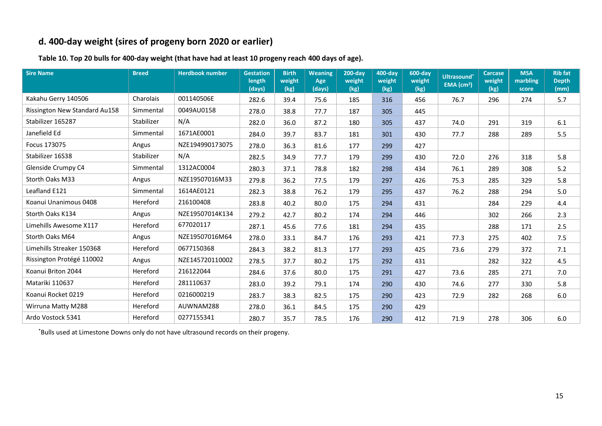# <span id="page-14-0"></span>**d. 400-day weight (sires of progeny born 2020 or earlier)**

<span id="page-14-1"></span>**Table 10. Top 20 bulls for 400-day weight (that have had at least 10 progeny reach 400 days of age).**

| <b>Sire Name</b>              | <b>Breed</b> | <b>Herdbook number</b> | <b>Gestation</b><br>length<br>(days) | <b>Birth</b><br>weight<br>(kg) | <b>Weaning</b><br>Age<br>(days) | $200$ -dav<br>weight<br>(kg) | 400-day<br>weight<br>(kg) | 600-day<br>weight<br>(kg) | <b>Ultrasound</b><br>$EMA$ (cm <sup>2</sup> ) | <b>Carcase</b><br>weight<br>(kg) | <b>MSA</b><br>marbling<br>score | <b>Rib fat</b><br><b>Depth</b><br>(mm) |
|-------------------------------|--------------|------------------------|--------------------------------------|--------------------------------|---------------------------------|------------------------------|---------------------------|---------------------------|-----------------------------------------------|----------------------------------|---------------------------------|----------------------------------------|
| Kakahu Gerry 140506           | Charolais    | 001140506E             | 282.6                                | 39.4                           | 75.6                            | 185                          | 316                       | 456                       | 76.7                                          | 296                              | 274                             | 5.7                                    |
| Rissington New Standard Au158 | Simmental    | 0049AU0158             | 278.0                                | 38.8                           | 77.7                            | 187                          | 305                       | 445                       |                                               |                                  |                                 |                                        |
| Stabilizer 165287             | Stabilizer   | N/A                    | 282.0                                | 36.0                           | 87.2                            | 180                          | 305                       | 437                       | 74.0                                          | 291                              | 319                             | 6.1                                    |
| Janefield Ed                  | Simmental    | 1671AE0001             | 284.0                                | 39.7                           | 83.7                            | 181                          | 301                       | 430                       | 77.7                                          | 288                              | 289                             | 5.5                                    |
| Focus 173075                  | Angus        | NZE194990173075        | 278.0                                | 36.3                           | 81.6                            | 177                          | 299                       | 427                       |                                               |                                  |                                 |                                        |
| Stabilizer 16S38              | Stabilizer   | N/A                    | 282.5                                | 34.9                           | 77.7                            | 179                          | 299                       | 430                       | 72.0                                          | 276                              | 318                             | 5.8                                    |
| Glenside Crumpy C4            | Simmental    | 1312AC0004             | 280.3                                | 37.1                           | 78.8                            | 182                          | 298                       | 434                       | 76.1                                          | 289                              | 308                             | 5.2                                    |
| <b>Storth Oaks M33</b>        | Angus        | NZE19507016M33         | 279.8                                | 36.2                           | 77.5                            | 179                          | 297                       | 426                       | 75.3                                          | 285                              | 329                             | 5.8                                    |
| Leafland E121                 | Simmental    | 1614AE0121             | 282.3                                | 38.8                           | 76.2                            | 179                          | 295                       | 437                       | 76.2                                          | 288                              | 294                             | 5.0                                    |
| Koanui Unanimous 0408         | Hereford     | 216100408              | 283.8                                | 40.2                           | 80.0                            | 175                          | 294                       | 431                       |                                               | 284                              | 229                             | 4.4                                    |
| Storth Oaks K134              | Angus        | NZE19507014K134        | 279.2                                | 42.7                           | 80.2                            | 174                          | 294                       | 446                       |                                               | 302                              | 266                             | 2.3                                    |
| Limehills Awesome X117        | Hereford     | 677020117              | 287.1                                | 45.6                           | 77.6                            | 181                          | 294                       | 435                       |                                               | 288                              | 171                             | 2.5                                    |
| Storth Oaks M64               | Angus        | NZE19507016M64         | 278.0                                | 33.1                           | 84.7                            | 176                          | 293                       | 421                       | 77.3                                          | 275                              | 402                             | 7.5                                    |
| Limehills Streaker 150368     | Hereford     | 0677150368             | 284.3                                | 38.2                           | 81.3                            | 177                          | 293                       | 425                       | 73.6                                          | 279                              | 372                             | 7.1                                    |
| Rissington Protégé 110002     | Angus        | NZE145720110002        | 278.5                                | 37.7                           | 80.2                            | 175                          | 292                       | 431                       |                                               | 282                              | 322                             | 4.5                                    |
| Koanui Briton 2044            | Hereford     | 216122044              | 284.6                                | 37.6                           | 80.0                            | 175                          | 291                       | 427                       | 73.6                                          | 285                              | 271                             | 7.0                                    |
| Matariki 110637               | Hereford     | 281110637              | 283.0                                | 39.2                           | 79.1                            | 174                          | 290                       | 430                       | 74.6                                          | 277                              | 330                             | 5.8                                    |
| Koanui Rocket 0219            | Hereford     | 0216000219             | 283.7                                | 38.3                           | 82.5                            | 175                          | 290                       | 423                       | 72.9                                          | 282                              | 268                             | 6.0                                    |
| Wirruna Matty M288            | Hereford     | AUWNAM288              | 278.0                                | 36.1                           | 84.5                            | 175                          | 290                       | 429                       |                                               |                                  |                                 |                                        |
| Ardo Vostock 5341             | Hereford     | 0277155341             | 280.7                                | 35.7                           | 78.5                            | 176                          | 290                       | 412                       | 71.9                                          | 278                              | 306                             | $6.0\,$                                |

\*Bulls used at Limestone Downs only do not have ultrasound records on their progeny.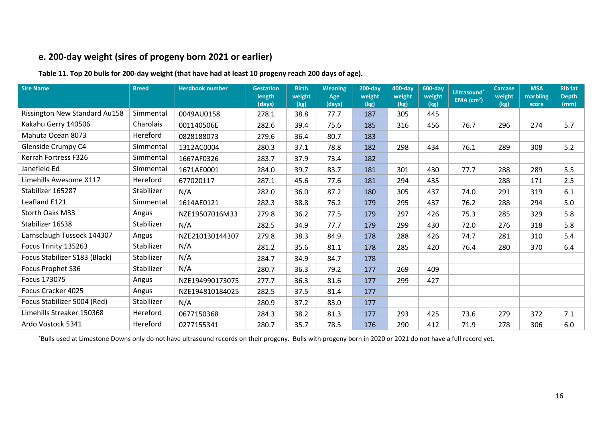# <span id="page-15-0"></span>**e. 200-day weight (sires of progeny born 2021 or earlier)**

#### <span id="page-15-1"></span>**Table 11. Top 20 bulls for 200-day weight (that have had at least 10 progeny reach 200 days of age).**

| <b>Sire Name</b>              | <b>Breed</b> | <b>Herdbook number</b> | <b>Gestation</b><br>length<br>(days) | <b>Birth</b><br>weight<br>(kg) | <b>Weaning</b><br>Age<br>(days) | $200$ -day<br>weight<br>(kg) | 400-day<br>weight<br>(kg) | 600-day<br>weight<br>(kg) | Ultrasound*<br>$EMA$ (cm <sup>2</sup> ) | <b>Carcase</b><br>weight<br>(kg) | <b>MSA</b><br>marbling<br>score | <b>Rib fat</b><br><b>Depth</b><br>(mm) |
|-------------------------------|--------------|------------------------|--------------------------------------|--------------------------------|---------------------------------|------------------------------|---------------------------|---------------------------|-----------------------------------------|----------------------------------|---------------------------------|----------------------------------------|
| Rissington New Standard Au158 | Simmental    | 0049AU0158             | 278.1                                | 38.8                           | 77.7                            | 187                          | 305                       | 445                       |                                         |                                  |                                 |                                        |
| Kakahu Gerry 140506           | Charolais    | 001140506E             | 282.6                                | 39.4                           | 75.6                            | 185                          | 316                       | 456                       | 76.7                                    | 296                              | 274                             | 5.7                                    |
| Mahuta Ocean 8073             | Hereford     | 0828188073             | 279.6                                | 36.4                           | 80.7                            | 183                          |                           |                           |                                         |                                  |                                 |                                        |
| Glenside Crumpy C4            | Simmental    | 1312AC0004             | 280.3                                | 37.1                           | 78.8                            | 182                          | 298                       | 434                       | 76.1                                    | 289                              | 308                             | 5.2                                    |
| Kerrah Fortress F326          | Simmental    | 1667AF0326             | 283.7                                | 37.9                           | 73.4                            | 182                          |                           |                           |                                         |                                  |                                 |                                        |
| Janefield Ed                  | Simmental    | 1671AE0001             | 284.0                                | 39.7                           | 83.7                            | 181                          | 301                       | 430                       | 77.7                                    | 288                              | 289                             | 5.5                                    |
| Limehills Awesome X117        | Hereford     | 677020117              | 287.1                                | 45.6                           | 77.6                            | 181                          | 294                       | 435                       |                                         | 288                              | 171                             | 2.5                                    |
| Stabilizer 165287             | Stabilizer   | N/A                    | 282.0                                | 36.0                           | 87.2                            | 180                          | 305                       | 437                       | 74.0                                    | 291                              | 319                             | 6.1                                    |
| Leafland E121                 | Simmental    | 1614AE0121             | 282.3                                | 38.8                           | 76.2                            | 179                          | 295                       | 437                       | 76.2                                    | 288                              | 294                             | 5.0                                    |
| Storth Oaks M33               | Angus        | NZE19507016M33         | 279.8                                | 36.2                           | 77.5                            | 179                          | 297                       | 426                       | 75.3                                    | 285                              | 329                             | 5.8                                    |
| Stabilizer 16S38              | Stabilizer   | N/A                    | 282.5                                | 34.9                           | 77.7                            | 179                          | 299                       | 430                       | 72.0                                    | 276                              | 318                             | 5.8                                    |
| Earnsclaugh Tussock 144307    | Angus        | NZE210130144307        | 279.8                                | 38.3                           | 84.9                            | 178                          | 288                       | 426                       | 74.7                                    | 281                              | 310                             | 5.4                                    |
| Focus Trinity 135263          | Stabilizer   | N/A                    | 281.2                                | 35.6                           | 81.1                            | 178                          | 285                       | 420                       | 76.4                                    | 280                              | 370                             | 6.4                                    |
| Focus Stabilizer S183 (Black) | Stabilizer   | N/A                    | 284.7                                | 34.9                           | 84.7                            | 178                          |                           |                           |                                         |                                  |                                 |                                        |
| Focus Prophet S36             | Stabilizer   | N/A                    | 280.7                                | 36.3                           | 79.2                            | 177                          | 269                       | 409                       |                                         |                                  |                                 |                                        |
| Focus 173075                  | Angus        | NZE194990173075        | 277.7                                | 36.3                           | 81.6                            | 177                          | 299                       | 427                       |                                         |                                  |                                 |                                        |
| Focus Cracker 4025            | Angus        | NZE194810184025        | 282.5                                | 37.5                           | 81.4                            | 177                          |                           |                           |                                         |                                  |                                 |                                        |
| Focus Stabilizer 5004 (Red)   | Stabilizer   | N/A                    | 280.9                                | 37.2                           | 83.0                            | 177                          |                           |                           |                                         |                                  |                                 |                                        |
| Limehills Streaker 150368     | Hereford     | 0677150368             | 284.3                                | 38.2                           | 81.3                            | 177                          | 293                       | 425                       | 73.6                                    | 279                              | 372                             | 7.1                                    |
| Ardo Vostock 5341             | Hereford     | 0277155341             | 280.7                                | 35.7                           | 78.5                            | 176                          | 290                       | 412                       | 71.9                                    | 278                              | 306                             | 6.0                                    |

\*Bulls used at Limestone Downs only do not have ultrasound records on their progeny. Bulls with progeny born in 2020 or 2021 do not have a full record yet.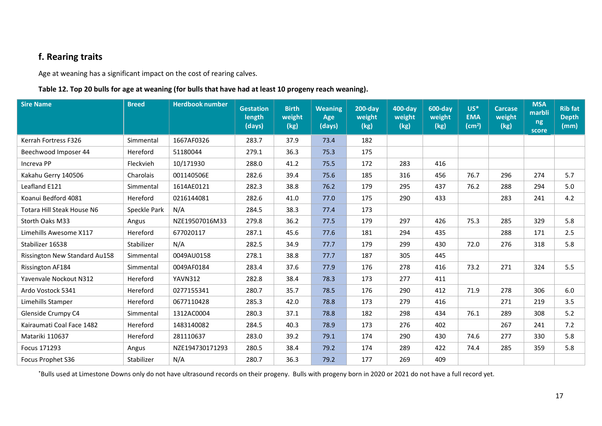# <span id="page-16-0"></span>**f. Rearing traits**

Age at weaning has a significant impact on the cost of rearing calves.

#### <span id="page-16-1"></span>**Table 12. Top 20 bulls for age at weaning (for bulls that have had at least 10 progeny reach weaning).**

| <b>Sire Name</b>              | <b>Breed</b> | <b>Herdbook number</b> | <b>Gestation</b><br>length<br>(days) | <b>Birth</b><br>weight<br>(kg) | <b>Weaning</b><br>Age<br>(days) | <b>200-day</b><br>weight<br>(kg) | 400-day<br>weight<br>(kg) | 600-day<br>weight<br>(kg) | $US^*$<br><b>EMA</b><br>(cm <sup>2</sup> ) | <b>Carcase</b><br>weight<br>(kg) | <b>MSA</b><br>marbli<br>ng<br>score | <b>Rib fat</b><br><b>Depth</b><br>(mm) |
|-------------------------------|--------------|------------------------|--------------------------------------|--------------------------------|---------------------------------|----------------------------------|---------------------------|---------------------------|--------------------------------------------|----------------------------------|-------------------------------------|----------------------------------------|
| Kerrah Fortress F326          | Simmental    | 1667AF0326             | 283.7                                | 37.9                           | 73.4                            | 182                              |                           |                           |                                            |                                  |                                     |                                        |
| Beechwood Imposer 44          | Hereford     | 51180044               | 279.1                                | 36.3                           | 75.3                            | 175                              |                           |                           |                                            |                                  |                                     |                                        |
| Increva PP                    | Fleckvieh    | 10/171930              | 288.0                                | 41.2                           | 75.5                            | 172                              | 283                       | 416                       |                                            |                                  |                                     |                                        |
| Kakahu Gerry 140506           | Charolais    | 001140506E             | 282.6                                | 39.4                           | 75.6                            | 185                              | 316                       | 456                       | 76.7                                       | 296                              | 274                                 | 5.7                                    |
| Leafland E121                 | Simmental    | 1614AE0121             | 282.3                                | 38.8                           | 76.2                            | 179                              | 295                       | 437                       | 76.2                                       | 288                              | 294                                 | 5.0                                    |
| Koanui Bedford 4081           | Hereford     | 0216144081             | 282.6                                | 41.0                           | 77.0                            | 175                              | 290                       | 433                       |                                            | 283                              | 241                                 | 4.2                                    |
| Totara Hill Steak House N6    | Speckle Park | N/A                    | 284.5                                | 38.3                           | 77.4                            | 173                              |                           |                           |                                            |                                  |                                     |                                        |
| Storth Oaks M33               | Angus        | NZE19507016M33         | 279.8                                | 36.2                           | 77.5                            | 179                              | 297                       | 426                       | 75.3                                       | 285                              | 329                                 | 5.8                                    |
| Limehills Awesome X117        | Hereford     | 677020117              | 287.1                                | 45.6                           | 77.6                            | 181                              | 294                       | 435                       |                                            | 288                              | 171                                 | 2.5                                    |
| Stabilizer 16S38              | Stabilizer   | N/A                    | 282.5                                | 34.9                           | 77.7                            | 179                              | 299                       | 430                       | 72.0                                       | 276                              | 318                                 | 5.8                                    |
| Rissington New Standard Au158 | Simmental    | 0049AU0158             | 278.1                                | 38.8                           | 77.7                            | 187                              | 305                       | 445                       |                                            |                                  |                                     |                                        |
| Rissington AF184              | Simmental    | 0049AF0184             | 283.4                                | 37.6                           | 77.9                            | 176                              | 278                       | 416                       | 73.2                                       | 271                              | 324                                 | 5.5                                    |
| Yavenvale Nockout N312        | Hereford     | <b>YAVN312</b>         | 282.8                                | 38.4                           | 78.3                            | 173                              | 277                       | 411                       |                                            |                                  |                                     |                                        |
| Ardo Vostock 5341             | Hereford     | 0277155341             | 280.7                                | 35.7                           | 78.5                            | 176                              | 290                       | 412                       | 71.9                                       | 278                              | 306                                 | 6.0                                    |
| Limehills Stamper             | Hereford     | 0677110428             | 285.3                                | 42.0                           | 78.8                            | 173                              | 279                       | 416                       |                                            | 271                              | 219                                 | 3.5                                    |
| Glenside Crumpy C4            | Simmental    | 1312AC0004             | 280.3                                | 37.1                           | 78.8                            | 182                              | 298                       | 434                       | 76.1                                       | 289                              | 308                                 | 5.2                                    |
| Kairaumati Coal Face 1482     | Hereford     | 1483140082             | 284.5                                | 40.3                           | 78.9                            | 173                              | 276                       | 402                       |                                            | 267                              | 241                                 | 7.2                                    |
| Matariki 110637               | Hereford     | 281110637              | 283.0                                | 39.2                           | 79.1                            | 174                              | 290                       | 430                       | 74.6                                       | 277                              | 330                                 | 5.8                                    |
| Focus 171293                  | Angus        | NZE194730171293        | 280.5                                | 38.4                           | 79.2                            | 174                              | 289                       | 422                       | 74.4                                       | 285                              | 359                                 | 5.8                                    |
| Focus Prophet S36             | Stabilizer   | N/A                    | 280.7                                | 36.3                           | 79.2                            | 177                              | 269                       | 409                       |                                            |                                  |                                     |                                        |

\*Bulls used at Limestone Downs only do not have ultrasound records on their progeny. Bulls with progeny born in 2020 or 2021 do not have a full record yet.